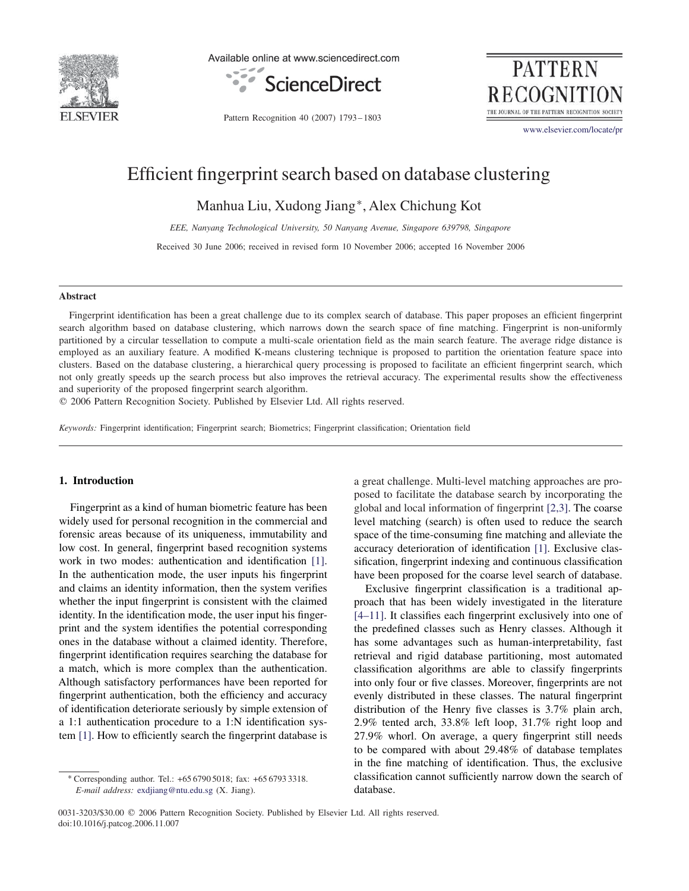

Available online at www.sciencedirect.com



**PATTERN RECOGNITIO** THE JOURNAL OF THE PATTERN RECOGNITION SO

Pattern Recognition 40 (2007) 1793 – 1803

www.elsevier.com/locate/pr

# Efficient fingerprint search based on database clustering

Manhua Liu, Xudong Jiang∗, Alex Chichung Kot

*EEE, Nanyang Technological University, 50 Nanyang Avenue, Singapore 639798, Singapore*

Received 30 June 2006; received in revised form 10 November 2006; accepted 16 November 2006

#### **Abstract**

Fingerprint identification has been a great challenge due to its complex search of database. This paper proposes an efficient fingerprint search algorithm based on database clustering, which narrows down the search space of fine matching. Fingerprint is non-uniformly partitioned by a circular tessellation to compute a multi-scale orientation field as the main search feature. The average ridge distance is employed as an auxiliary feature. A modified K-means clustering technique is proposed to partition the orientation feature space into clusters. Based on the database clustering, a hierarchical query processing is proposed to facilitate an efficient fingerprint search, which not only greatly speeds up the search process but also improves the retrieval accuracy. The experimental results show the effectiveness and superiority of the proposed fingerprint search algorithm.

- 2006 Pattern Recognition Society. Published by Elsevier Ltd. All rights reserved.

*Keywords:* Fingerprint identification; Fingerprint search; Biometrics; Fingerprint classification; Orientation field

## **1. Introduction**

Fingerprint as a kind of human biometric feature has been widely used for personal recognition in the commercial and forensic areas because of its uniqueness, immutability and low cost. In general, fingerprint based recognition systems work in two modes: authentication and identification [1]. In the authentication mode, the user inputs his fingerprint and claims an identity information, then the system verifies whether the input fingerprint is consistent with the claimed identity. In the identification mode, the user input his fingerprint and the system identifies the potential corresponding ones in the database without a claimed identity. Therefore, fingerprint identification requires searching the database for a match, which is more complex than the authentication. Although satisfactory performances have been reported for fingerprint authentication, both the efficiency and accuracy of identification deteriorate seriously by simple extension of a 1:1 authentication procedure to a 1:N identification system [1]. How to efficiently search the fingerprint database is a great challenge. Multi-level matching approaches are proposed to facilitate the database search by incorporating the global and local information of fingerprint [2,3]. The coarse level matching (search) is often used to reduce the search space of the time-consuming fine matching and alleviate the accuracy deterioration of identification [1]. Exclusive classification, fingerprint indexing and continuous classification have been proposed for the coarse level search of database.

Exclusive fingerprint classification is a traditional approach that has been widely investigated in the literature [4–11]. It classifies each fingerprint exclusively into one of the predefined classes such as Henry classes. Although it has some advantages such as human-interpretability, fast retrieval and rigid database partitioning, most automated classification algorithms are able to classify fingerprints into only four or five classes. Moreover, fingerprints are not evenly distributed in these classes. The natural fingerprint distribution of the Henry five classes is 3.7% plain arch, 2.9% tented arch, 33.8% left loop, 31.7% right loop and 27.9% whorl. On average, a query fingerprint still needs to be compared with about 29.48% of database templates in the fine matching of identification. Thus, the exclusive classification cannot sufficiently narrow down the search of database.

0031-3203/\$30.00 © 2006 Pattern Recognition Society. Published by Elsevier Ltd. All rights reserved. doi:10.1016/j.patcog.2006.11.007

<sup>∗</sup> Corresponding author. Tel.: +65 6790 5018; fax: +65 6793 3318. *E-mail address:* exdjiang@ntu.edu.sg (X. Jiang).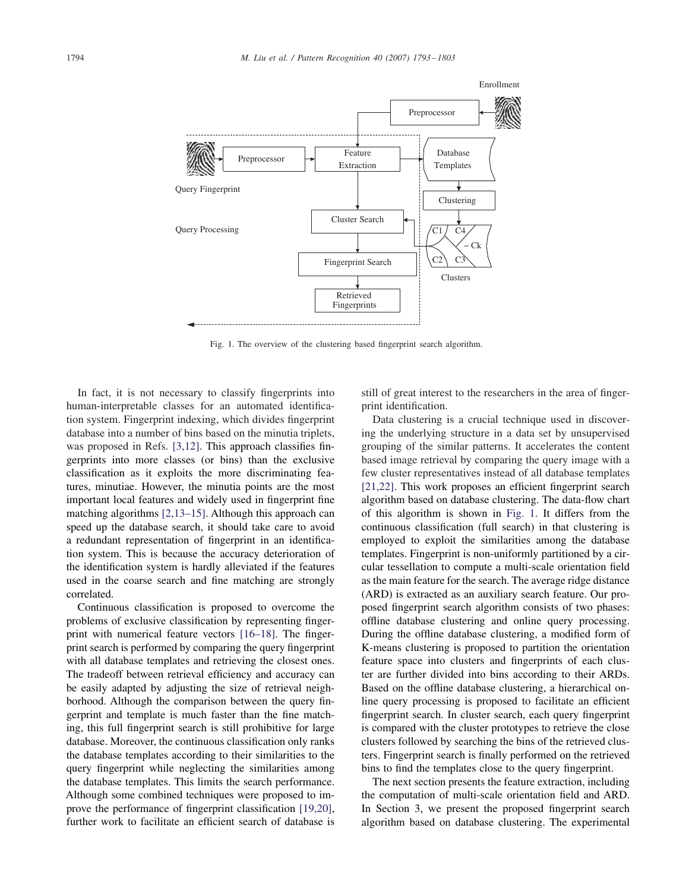

Fig. 1. The overview of the clustering based fingerprint search algorithm.

In fact, it is not necessary to classify fingerprints into human-interpretable classes for an automated identification system. Fingerprint indexing, which divides fingerprint database into a number of bins based on the minutia triplets, was proposed in Refs. [3,12]. This approach classifies fingerprints into more classes (or bins) than the exclusive classification as it exploits the more discriminating features, minutiae. However, the minutia points are the most important local features and widely used in fingerprint fine matching algorithms [2,13–15]. Although this approach can speed up the database search, it should take care to avoid a redundant representation of fingerprint in an identification system. This is because the accuracy deterioration of the identification system is hardly alleviated if the features used in the coarse search and fine matching are strongly correlated.

Continuous classification is proposed to overcome the problems of exclusive classification by representing fingerprint with numerical feature vectors [16–18]. The fingerprint search is performed by comparing the query fingerprint with all database templates and retrieving the closest ones. The tradeoff between retrieval efficiency and accuracy can be easily adapted by adjusting the size of retrieval neighborhood. Although the comparison between the query fingerprint and template is much faster than the fine matching, this full fingerprint search is still prohibitive for large database. Moreover, the continuous classification only ranks the database templates according to their similarities to the query fingerprint while neglecting the similarities among the database templates. This limits the search performance. Although some combined techniques were proposed to improve the performance of fingerprint classification [19,20], further work to facilitate an efficient search of database is

still of great interest to the researchers in the area of fingerprint identification.

Data clustering is a crucial technique used in discovering the underlying structure in a data set by unsupervised grouping of the similar patterns. It accelerates the content based image retrieval by comparing the query image with a few cluster representatives instead of all database templates [21,22]. This work proposes an efficient fingerprint search algorithm based on database clustering. The data-flow chart of this algorithm is shown in Fig. 1. It differs from the continuous classification (full search) in that clustering is employed to exploit the similarities among the database templates. Fingerprint is non-uniformly partitioned by a circular tessellation to compute a multi-scale orientation field as the main feature for the search. The average ridge distance (ARD) is extracted as an auxiliary search feature. Our proposed fingerprint search algorithm consists of two phases: offline database clustering and online query processing. During the offline database clustering, a modified form of K-means clustering is proposed to partition the orientation feature space into clusters and fingerprints of each cluster are further divided into bins according to their ARDs. Based on the offline database clustering, a hierarchical online query processing is proposed to facilitate an efficient fingerprint search. In cluster search, each query fingerprint is compared with the cluster prototypes to retrieve the close clusters followed by searching the bins of the retrieved clusters. Fingerprint search is finally performed on the retrieved bins to find the templates close to the query fingerprint.

The next section presents the feature extraction, including the computation of multi-scale orientation field and ARD. In Section 3, we present the proposed fingerprint search algorithm based on database clustering. The experimental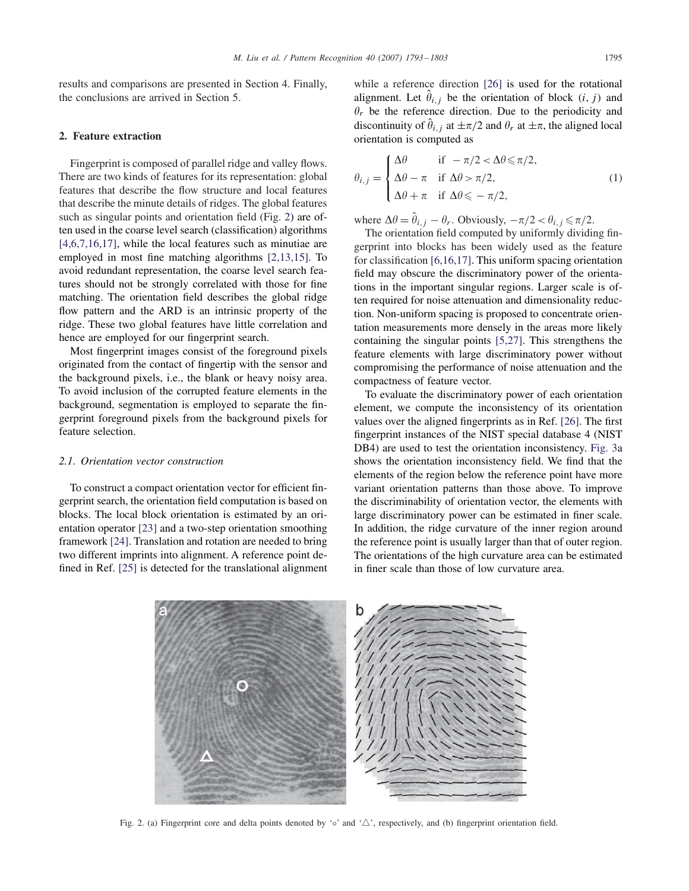results and comparisons are presented in Section 4. Finally, the conclusions are arrived in Section 5.

# **2. Feature extraction**

Fingerprint is composed of parallel ridge and valley flows. There are two kinds of features for its representation: global features that describe the flow structure and local features that describe the minute details of ridges. The global features such as singular points and orientation field (Fig. 2) are often used in the coarse level search (classification) algorithms [4,6,7,16,17], while the local features such as minutiae are employed in most fine matching algorithms [2,13,15]. To avoid redundant representation, the coarse level search features should not be strongly correlated with those for fine matching. The orientation field describes the global ridge flow pattern and the ARD is an intrinsic property of the ridge. These two global features have little correlation and hence are employed for our fingerprint search.

Most fingerprint images consist of the foreground pixels originated from the contact of fingertip with the sensor and the background pixels, i.e., the blank or heavy noisy area. To avoid inclusion of the corrupted feature elements in the background, segmentation is employed to separate the fingerprint foreground pixels from the background pixels for feature selection.

## *2.1. Orientation vector construction*

To construct a compact orientation vector for efficient fingerprint search, the orientation field computation is based on blocks. The local block orientation is estimated by an orientation operator [23] and a two-step orientation smoothing framework [24]. Translation and rotation are needed to bring two different imprints into alignment. A reference point defined in Ref. [25] is detected for the translational alignment while a reference direction [26] is used for the rotational alignment. Let  $\hat{\theta}_{i,j}$  be the orientation of block  $(i, j)$  and  $\theta_r$  be the reference direction. Due to the periodicity and discontinuity of  $\hat{\theta}_{i,j}$  at  $\pm \pi/2$  and  $\theta_r$  at  $\pm \pi$ , the aligned local orientation is computed as

$$
\theta_{i,j} = \begin{cases}\n\Delta\theta & \text{if } -\pi/2 < \Delta\theta \le \pi/2, \\
\Delta\theta - \pi & \text{if } \Delta\theta > \pi/2, \\
\Delta\theta + \pi & \text{if } \Delta\theta \le -\pi/2,\n\end{cases}
$$
\n(1)

where  $\Delta \theta = \hat{\theta}_{i,j} - \theta_r$ . Obviously,  $-\pi/2 < \theta_{i,j} \le \pi/2$ .

The orientation field computed by uniformly dividing fingerprint into blocks has been widely used as the feature for classification [6,16,17]. This uniform spacing orientation field may obscure the discriminatory power of the orientations in the important singular regions. Larger scale is often required for noise attenuation and dimensionality reduction. Non-uniform spacing is proposed to concentrate orientation measurements more densely in the areas more likely containing the singular points [5,27]. This strengthens the feature elements with large discriminatory power without compromising the performance of noise attenuation and the compactness of feature vector.

To evaluate the discriminatory power of each orientation element, we compute the inconsistency of its orientation values over the aligned fingerprints as in Ref. [26]. The first fingerprint instances of the NIST special database 4 (NIST DB4) are used to test the orientation inconsistency. Fig. 3a shows the orientation inconsistency field. We find that the elements of the region below the reference point have more variant orientation patterns than those above. To improve the discriminability of orientation vector, the elements with large discriminatory power can be estimated in finer scale. In addition, the ridge curvature of the inner region around the reference point is usually larger than that of outer region. The orientations of the high curvature area can be estimated in finer scale than those of low curvature area.

Fig. 2. (a) Fingerprint core and delta points denoted by ' $\circ$ ' and ' $\triangle$ ', respectively, and (b) fingerprint orientation field.

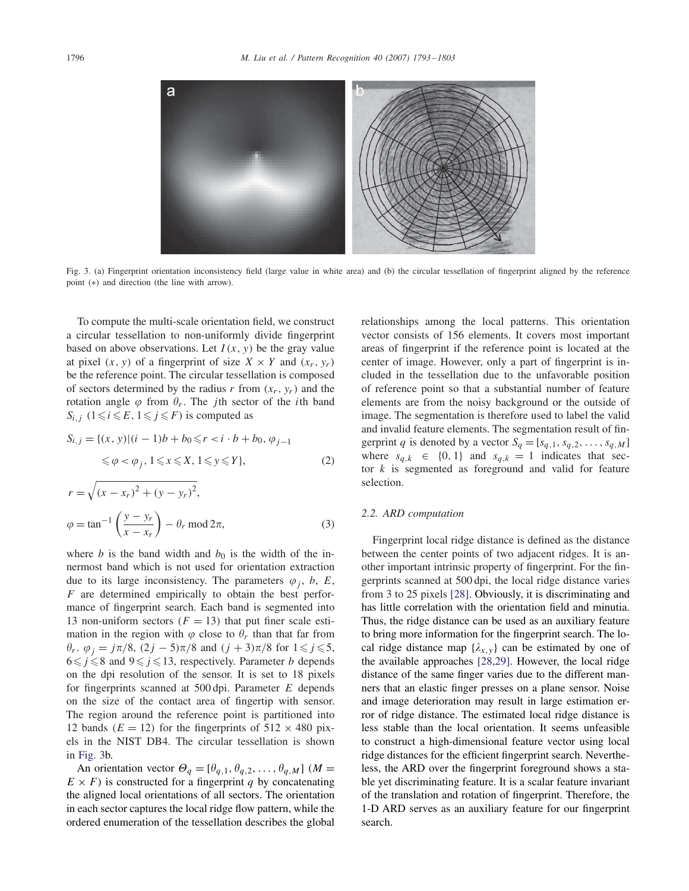

Fig. 3. (a) Fingerprint orientation inconsistency field (large value in white area) and (b) the circular tessellation of fingerprint aligned by the reference point (∗) and direction (the line with arrow).

To compute the multi-scale orientation field, we construct a circular tessellation to non-uniformly divide fingerprint based on above observations. Let  $I(x, y)$  be the gray value at pixel  $(x, y)$  of a fingerprint of size  $X \times Y$  and  $(x_r, y_r)$ be the reference point. The circular tessellation is composed of sectors determined by the radius r from  $(x_r, y_r)$  and the rotation angle  $\varphi$  from  $\theta_r$ . The *j*th sector of the *i*th band  $S_{i,j}$   $(1 \leq i \leq E, 1 \leq j \leq F)$  is computed as

$$
S_{i,j} = \{(x, y) | (i - 1)b + b_0 \le r < i \cdot b + b_0, \varphi_{j-1} \le \varphi < \varphi_j, 1 \le x \le X, 1 \le y \le Y \},\tag{2}
$$

$$
r = \sqrt{(x - x_r)^2 + (y - y_r)^2},
$$
  
\n
$$
\varphi = \tan^{-1} \left( \frac{y - y_r}{x - x_r} \right) - \theta_r \mod 2\pi,
$$
\n(3)

where b is the band width and  $b_0$  is the width of the innermost band which is not used for orientation extraction due to its large inconsistency. The parameters  $\varphi_i$ , b, E,  $F$  are determined empirically to obtain the best performance of fingerprint search. Each band is segmented into 13 non-uniform sectors  $(F = 13)$  that put finer scale estimation in the region with  $\varphi$  close to  $\theta_r$  than that far from  $\theta_r$ .  $\varphi_j = j\pi/8$ ,  $(2j - 5)\pi/8$  and  $(j + 3)\pi/8$  for  $1 \leq j \leq 5$ ,  $6 \le j \le 8$  and  $9 \le j \le 13$ , respectively. Parameter *b* depends on the dpi resolution of the sensor. It is set to 18 pixels for fingerprints scanned at  $500 \,\text{dpi}$ . Parameter E depends on the size of the contact area of fingertip with sensor. The region around the reference point is partitioned into 12 bands ( $E = 12$ ) for the fingerprints of  $512 \times 480$  pixels in the NIST DB4. The circular tessellation is shown in Fig. 3b.

An orientation vector  $\Theta_q = [\theta_{q,1}, \theta_{q,2}, \dots, \theta_{q,M}]$  ( $M =$  $E \times F$ ) is constructed for a fingerprint q by concatenating the aligned local orientations of all sectors. The orientation in each sector captures the local ridge flow pattern, while the ordered enumeration of the tessellation describes the global relationships among the local patterns. This orientation vector consists of 156 elements. It covers most important areas of fingerprint if the reference point is located at the center of image. However, only a part of fingerprint is included in the tessellation due to the unfavorable position of reference point so that a substantial number of feature elements are from the noisy background or the outside of image. The segmentation is therefore used to label the valid and invalid feature elements. The segmentation result of fingerprint q is denoted by a vector  $S_q = [s_{q,1}, s_{q,2}, \dots, s_{q,M}]$ where  $s_{q,k} \in \{0, 1\}$  and  $s_{q,k} = 1$  indicates that sector  $k$  is segmented as foreground and valid for feature selection.

# *2.2. ARD computation*

Fingerprint local ridge distance is defined as the distance between the center points of two adjacent ridges. It is another important intrinsic property of fingerprint. For the fingerprints scanned at 500 dpi, the local ridge distance varies from 3 to 25 pixels [28]. Obviously, it is discriminating and has little correlation with the orientation field and minutia. Thus, the ridge distance can be used as an auxiliary feature to bring more information for the fingerprint search. The local ridge distance map  $\{\lambda_{x,y}\}$  can be estimated by one of the available approaches [28,29]. However, the local ridge distance of the same finger varies due to the different manners that an elastic finger presses on a plane sensor. Noise and image deterioration may result in large estimation error of ridge distance. The estimated local ridge distance is less stable than the local orientation. It seems unfeasible to construct a high-dimensional feature vector using local ridge distances for the efficient fingerprint search. Nevertheless, the ARD over the fingerprint foreground shows a stable yet discriminating feature. It is a scalar feature invariant of the translation and rotation of fingerprint. Therefore, the 1-D ARD serves as an auxiliary feature for our fingerprint search.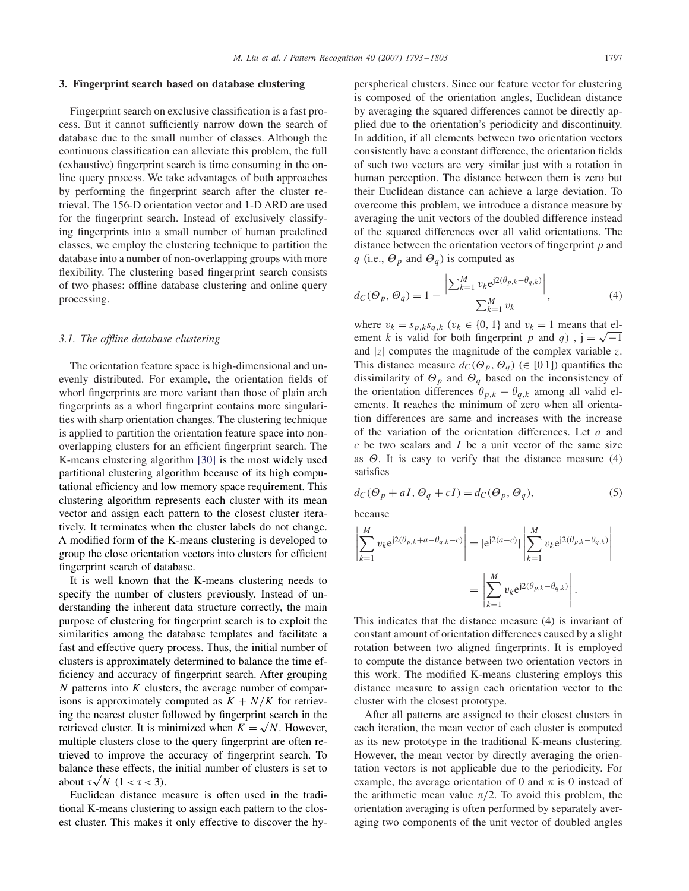#### **3. Fingerprint search based on database clustering**

Fingerprint search on exclusive classification is a fast process. But it cannot sufficiently narrow down the search of database due to the small number of classes. Although the continuous classification can alleviate this problem, the full (exhaustive) fingerprint search is time consuming in the online query process. We take advantages of both approaches by performing the fingerprint search after the cluster retrieval. The 156-D orientation vector and 1-D ARD are used for the fingerprint search. Instead of exclusively classifying fingerprints into a small number of human predefined classes, we employ the clustering technique to partition the database into a number of non-overlapping groups with more flexibility. The clustering based fingerprint search consists of two phases: offline database clustering and online query processing.

# *3.1. The offline database clustering*

The orientation feature space is high-dimensional and unevenly distributed. For example, the orientation fields of whorl fingerprints are more variant than those of plain arch fingerprints as a whorl fingerprint contains more singularities with sharp orientation changes. The clustering technique is applied to partition the orientation feature space into nonoverlapping clusters for an efficient fingerprint search. The K-means clustering algorithm [30] is the most widely used partitional clustering algorithm because of its high computational efficiency and low memory space requirement. This clustering algorithm represents each cluster with its mean vector and assign each pattern to the closest cluster iteratively. It terminates when the cluster labels do not change. A modified form of the K-means clustering is developed to group the close orientation vectors into clusters for efficient fingerprint search of database.

It is well known that the K-means clustering needs to specify the number of clusters previously. Instead of understanding the inherent data structure correctly, the main purpose of clustering for fingerprint search is to exploit the similarities among the database templates and facilitate a fast and effective query process. Thus, the initial number of clusters is approximately determined to balance the time efficiency and accuracy of fingerprint search. After grouping  $N$  patterns into  $K$  clusters, the average number of comparisons is approximately computed as  $K + N/K$  for retrieving the nearest cluster followed by fingerprint search in the retrieved cluster. It is minimized when  $K = \sqrt{N}$ . However, multiple clusters close to the query fingerprint are often retrieved to improve the accuracy of fingerprint search. To balance these effects, the initial number of clusters is set to about  $\tau\sqrt{N}$   $(1 < \tau < 3)$ .

Euclidean distance measure is often used in the traditional K-means clustering to assign each pattern to the closest cluster. This makes it only effective to discover the hyperspherical clusters. Since our feature vector for clustering is composed of the orientation angles, Euclidean distance by averaging the squared differences cannot be directly applied due to the orientation's periodicity and discontinuity. In addition, if all elements between two orientation vectors consistently have a constant difference, the orientation fields of such two vectors are very similar just with a rotation in human perception. The distance between them is zero but their Euclidean distance can achieve a large deviation. To overcome this problem, we introduce a distance measure by averaging the unit vectors of the doubled difference instead of the squared differences over all valid orientations. The distance between the orientation vectors of fingerprint  $p$  and q (i.e.,  $\Theta_p$  and  $\Theta_q$ ) is computed as

$$
d_C(\Theta_p, \Theta_q) = 1 - \frac{\left| \sum_{k=1}^M v_k e^{j2(\theta_{p,k} - \theta_{q,k})} \right|}{\sum_{k=1}^M v_k},\tag{4}
$$

where  $v_k = s_{p,k} s_{q,k}$  ( $v_k \in \{0, 1\}$  and  $v_k = 1$  means that element *k* is valid for both fingerprint *p* and *q*),  $j = \sqrt{-1}$ and  $|z|$  computes the magnitude of the complex variable z. This distance measure  $d_C(\Theta_p, \Theta_q)$  ( $\in [0 1]$ ) quantifies the dissimilarity of  $\Theta_p$  and  $\Theta_q$  based on the inconsistency of the orientation differences  $\theta_{p,k} - \theta_{q,k}$  among all valid elements. It reaches the minimum of zero when all orientation differences are same and increases with the increase of the variation of the orientation differences. Let  $a$  and  $c$  be two scalars and  $I$  be a unit vector of the same size as  $\Theta$ . It is easy to verify that the distance measure (4) satisfies

$$
d_C(\Theta_p + aI, \Theta_q + cI) = d_C(\Theta_p, \Theta_q),\tag{5}
$$

because

$$
\left| \sum_{k=1}^{M} v_k e^{j2(\theta_{p,k} + a - \theta_{q,k} - c)} \right| = |e^{j2(a-c)}| \left| \sum_{k=1}^{M} v_k e^{j2(\theta_{p,k} - \theta_{q,k})} \right|
$$

$$
= \left| \sum_{k=1}^{M} v_k e^{j2(\theta_{p,k} - \theta_{q,k})} \right|.
$$

This indicates that the distance measure (4) is invariant of constant amount of orientation differences caused by a slight rotation between two aligned fingerprints. It is employed to compute the distance between two orientation vectors in this work. The modified K-means clustering employs this distance measure to assign each orientation vector to the cluster with the closest prototype.

After all patterns are assigned to their closest clusters in each iteration, the mean vector of each cluster is computed as its new prototype in the traditional K-means clustering. However, the mean vector by directly averaging the orientation vectors is not applicable due to the periodicity. For example, the average orientation of 0 and  $\pi$  is 0 instead of the arithmetic mean value  $\pi/2$ . To avoid this problem, the orientation averaging is often performed by separately averaging two components of the unit vector of doubled angles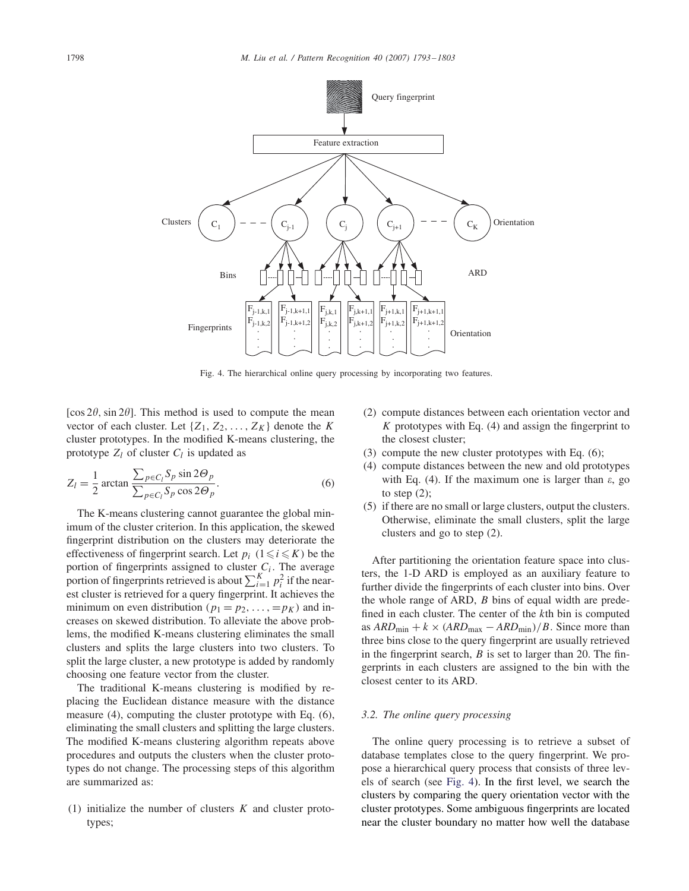

Fig. 4. The hierarchical online query processing by incorporating two features.

[ $\cos 2\theta$ ,  $\sin 2\theta$ ]. This method is used to compute the mean vector of each cluster. Let  $\{Z_1, Z_2, \ldots, Z_K\}$  denote the K cluster prototypes. In the modified K-means clustering, the prototype  $Z_l$  of cluster  $C_l$  is updated as

$$
Z_l = \frac{1}{2} \arctan \frac{\sum_{p \in C_l} S_p \sin 2\Theta_p}{\sum_{p \in C_l} S_p \cos 2\Theta_p}.
$$
 (6)

The K-means clustering cannot guarantee the global minimum of the cluster criterion. In this application, the skewed fingerprint distribution on the clusters may deteriorate the effectiveness of fingerprint search. Let  $p_i$   $(1 \le i \le K)$  be the portion of fingerprints assigned to cluster  $C_i$ . The average portion of fingerprints retrieved is about  $\sum_{i=1}^{K} p_i^2$  if the nearest cluster is retrieved for a query fingerprint. It achieves the minimum on even distribution ( $p_1 = p_2, \ldots, = p_K$ ) and increases on skewed distribution. To alleviate the above problems, the modified K-means clustering eliminates the small clusters and splits the large clusters into two clusters. To split the large cluster, a new prototype is added by randomly choosing one feature vector from the cluster.

The traditional K-means clustering is modified by replacing the Euclidean distance measure with the distance measure (4), computing the cluster prototype with Eq. (6), eliminating the small clusters and splitting the large clusters. The modified K-means clustering algorithm repeats above procedures and outputs the clusters when the cluster prototypes do not change. The processing steps of this algorithm are summarized as:

(1) initialize the number of clusters  $K$  and cluster prototypes;

- (2) compute distances between each orientation vector and  $K$  prototypes with Eq. (4) and assign the fingerprint to the closest cluster;
- (3) compute the new cluster prototypes with Eq. (6);
- (4) compute distances between the new and old prototypes with Eq. (4). If the maximum one is larger than  $\varepsilon$ , go to step  $(2)$ ;
- (5) if there are no small or large clusters, output the clusters. Otherwise, eliminate the small clusters, split the large clusters and go to step (2).

After partitioning the orientation feature space into clusters, the 1-D ARD is employed as an auxiliary feature to further divide the fingerprints of each cluster into bins. Over the whole range of ARD, B bins of equal width are predefined in each cluster. The center of the kth bin is computed as  $ARD_{\text{min}} + k \times (ARD_{\text{max}} - ARD_{\text{min}})/B$ . Since more than three bins close to the query fingerprint are usually retrieved in the fingerprint search,  $B$  is set to larger than 20. The fingerprints in each clusters are assigned to the bin with the closest center to its ARD.

## *3.2. The online query processing*

The online query processing is to retrieve a subset of database templates close to the query fingerprint. We propose a hierarchical query process that consists of three levels of search (see Fig. 4). In the first level, we search the clusters by comparing the query orientation vector with the cluster prototypes. Some ambiguous fingerprints are located near the cluster boundary no matter how well the database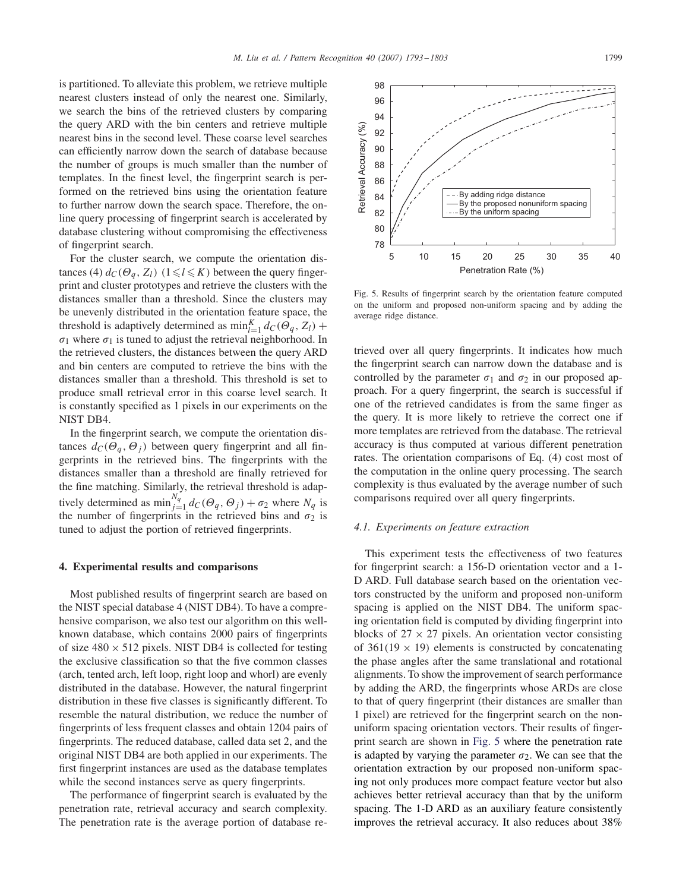is partitioned. To alleviate this problem, we retrieve multiple nearest clusters instead of only the nearest one. Similarly, we search the bins of the retrieved clusters by comparing the query ARD with the bin centers and retrieve multiple nearest bins in the second level. These coarse level searches can efficiently narrow down the search of database because the number of groups is much smaller than the number of templates. In the finest level, the fingerprint search is performed on the retrieved bins using the orientation feature to further narrow down the search space. Therefore, the online query processing of fingerprint search is accelerated by database clustering without compromising the effectiveness of fingerprint search.

For the cluster search, we compute the orientation distances (4)  $d_C(\Theta_q, Z_l)$   $(1 \le l \le K)$  between the query fingerprint and cluster prototypes and retrieve the clusters with the distances smaller than a threshold. Since the clusters may be unevenly distributed in the orientation feature space, the threshold is adaptively determined as  $\min_{l=1}^{K} d_{C}(\Theta_{q}, Z_{l}) +$  $\sigma_1$  where  $\sigma_1$  is tuned to adjust the retrieval neighborhood. In the retrieved clusters, the distances between the query ARD and bin centers are computed to retrieve the bins with the distances smaller than a threshold. This threshold is set to produce small retrieval error in this coarse level search. It is constantly specified as 1 pixels in our experiments on the NIST DB4.

In the fingerprint search, we compute the orientation distances  $d_C(\Theta_q, \Theta_i)$  between query fingerprint and all fingerprints in the retrieved bins. The fingerprints with the distances smaller than a threshold are finally retrieved for the fine matching. Similarly, the retrieval threshold is adaptively determined as  $\min_{j=1}^{N_q} d_C(\Theta_q, \Theta_j) + \sigma_2$  where  $N_q$  is the number of fingerprints in the retrieved bins and  $\sigma_2$  is tuned to adjust the portion of retrieved fingerprints.

#### **4. Experimental results and comparisons**

Most published results of fingerprint search are based on the NIST special database 4 (NIST DB4). To have a comprehensive comparison, we also test our algorithm on this wellknown database, which contains 2000 pairs of fingerprints of size  $480 \times 512$  pixels. NIST DB4 is collected for testing the exclusive classification so that the five common classes (arch, tented arch, left loop, right loop and whorl) are evenly distributed in the database. However, the natural fingerprint distribution in these five classes is significantly different. To resemble the natural distribution, we reduce the number of fingerprints of less frequent classes and obtain 1204 pairs of fingerprints. The reduced database, called data set 2, and the original NIST DB4 are both applied in our experiments. The first fingerprint instances are used as the database templates while the second instances serve as query fingerprints.

The performance of fingerprint search is evaluated by the penetration rate, retrieval accuracy and search complexity. The penetration rate is the average portion of database re-

Fig. 5. Results of fingerprint search by the orientation feature computed on the uniform and proposed non-uniform spacing and by adding the average ridge distance.

trieved over all query fingerprints. It indicates how much the fingerprint search can narrow down the database and is controlled by the parameter  $\sigma_1$  and  $\sigma_2$  in our proposed approach. For a query fingerprint, the search is successful if one of the retrieved candidates is from the same finger as the query. It is more likely to retrieve the correct one if more templates are retrieved from the database. The retrieval accuracy is thus computed at various different penetration rates. The orientation comparisons of Eq. (4) cost most of the computation in the online query processing. The search complexity is thus evaluated by the average number of such comparisons required over all query fingerprints.

#### *4.1. Experiments on feature extraction*

This experiment tests the effectiveness of two features for fingerprint search: a 156-D orientation vector and a 1- D ARD. Full database search based on the orientation vectors constructed by the uniform and proposed non-uniform spacing is applied on the NIST DB4. The uniform spacing orientation field is computed by dividing fingerprint into blocks of  $27 \times 27$  pixels. An orientation vector consisting of  $361(19 \times 19)$  elements is constructed by concatenating the phase angles after the same translational and rotational alignments. To show the improvement of search performance by adding the ARD, the fingerprints whose ARDs are close to that of query fingerprint (their distances are smaller than 1 pixel) are retrieved for the fingerprint search on the nonuniform spacing orientation vectors. Their results of fingerprint search are shown in Fig. 5 where the penetration rate is adapted by varying the parameter  $\sigma_2$ . We can see that the orientation extraction by our proposed non-uniform spacing not only produces more compact feature vector but also achieves better retrieval accuracy than that by the uniform spacing. The 1-D ARD as an auxiliary feature consistently improves the retrieval accuracy. It also reduces about 38%

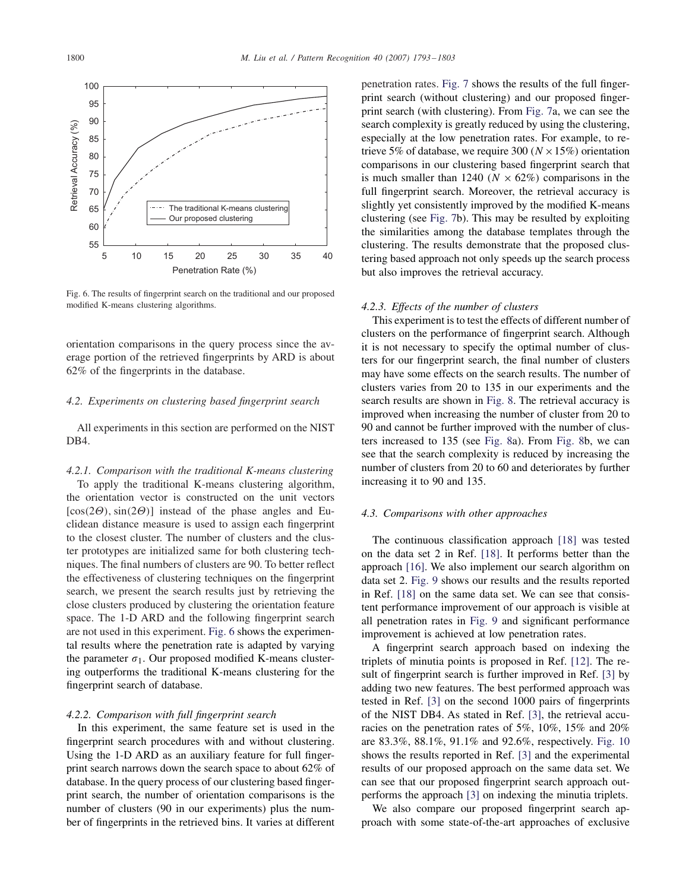

Fig. 6. The results of fingerprint search on the traditional and our proposed modified K-means clustering algorithms.

orientation comparisons in the query process since the average portion of the retrieved fingerprints by ARD is about 62% of the fingerprints in the database.

# *4.2. Experiments on clustering based fingerprint search*

All experiments in this section are performed on the NIST DB4.

#### *4.2.1. Comparison with the traditional K-means clustering*

To apply the traditional K-means clustering algorithm, the orientation vector is constructed on the unit vectors  $[\cos(2\Theta), \sin(2\Theta)]$  instead of the phase angles and Euclidean distance measure is used to assign each fingerprint to the closest cluster. The number of clusters and the cluster prototypes are initialized same for both clustering techniques. The final numbers of clusters are 90. To better reflect the effectiveness of clustering techniques on the fingerprint search, we present the search results just by retrieving the close clusters produced by clustering the orientation feature space. The 1-D ARD and the following fingerprint search are not used in this experiment. Fig. 6 shows the experimental results where the penetration rate is adapted by varying the parameter  $\sigma_1$ . Our proposed modified K-means clustering outperforms the traditional K-means clustering for the fingerprint search of database.

#### *4.2.2. Comparison with full fingerprint search*

In this experiment, the same feature set is used in the fingerprint search procedures with and without clustering. Using the 1-D ARD as an auxiliary feature for full fingerprint search narrows down the search space to about 62% of database. In the query process of our clustering based fingerprint search, the number of orientation comparisons is the number of clusters (90 in our experiments) plus the number of fingerprints in the retrieved bins. It varies at different

penetration rates. Fig. 7 shows the results of the full fingerprint search (without clustering) and our proposed fingerprint search (with clustering). From Fig. 7a, we can see the search complexity is greatly reduced by using the clustering, especially at the low penetration rates. For example, to retrieve 5% of database, we require 300 ( $N \times 15\%$ ) orientation comparisons in our clustering based fingerprint search that is much smaller than 1240 ( $N \times 62\%$ ) comparisons in the full fingerprint search. Moreover, the retrieval accuracy is slightly yet consistently improved by the modified K-means clustering (see Fig. 7b). This may be resulted by exploiting the similarities among the database templates through the clustering. The results demonstrate that the proposed clustering based approach not only speeds up the search process but also improves the retrieval accuracy.

#### *4.2.3. Effects of the number of clusters*

This experiment is to test the effects of different number of clusters on the performance of fingerprint search. Although it is not necessary to specify the optimal number of clusters for our fingerprint search, the final number of clusters may have some effects on the search results. The number of clusters varies from 20 to 135 in our experiments and the search results are shown in Fig. 8. The retrieval accuracy is improved when increasing the number of cluster from 20 to 90 and cannot be further improved with the number of clusters increased to 135 (see Fig. 8a). From Fig. 8b, we can see that the search complexity is reduced by increasing the number of clusters from 20 to 60 and deteriorates by further increasing it to 90 and 135.

### *4.3. Comparisons with other approaches*

The continuous classification approach [18] was tested on the data set 2 in Ref. [18]. It performs better than the approach [16]. We also implement our search algorithm on data set 2. Fig. 9 shows our results and the results reported in Ref. [18] on the same data set. We can see that consistent performance improvement of our approach is visible at all penetration rates in Fig. 9 and significant performance improvement is achieved at low penetration rates.

A fingerprint search approach based on indexing the triplets of minutia points is proposed in Ref. [12]. The result of fingerprint search is further improved in Ref. [3] by adding two new features. The best performed approach was tested in Ref. [3] on the second 1000 pairs of fingerprints of the NIST DB4. As stated in Ref. [3], the retrieval accuracies on the penetration rates of 5%, 10%, 15% and 20% are 83.3%, 88.1%, 91.1% and 92.6%, respectively. Fig. 10 shows the results reported in Ref. [3] and the experimental results of our proposed approach on the same data set. We can see that our proposed fingerprint search approach outperforms the approach [3] on indexing the minutia triplets.

We also compare our proposed fingerprint search approach with some state-of-the-art approaches of exclusive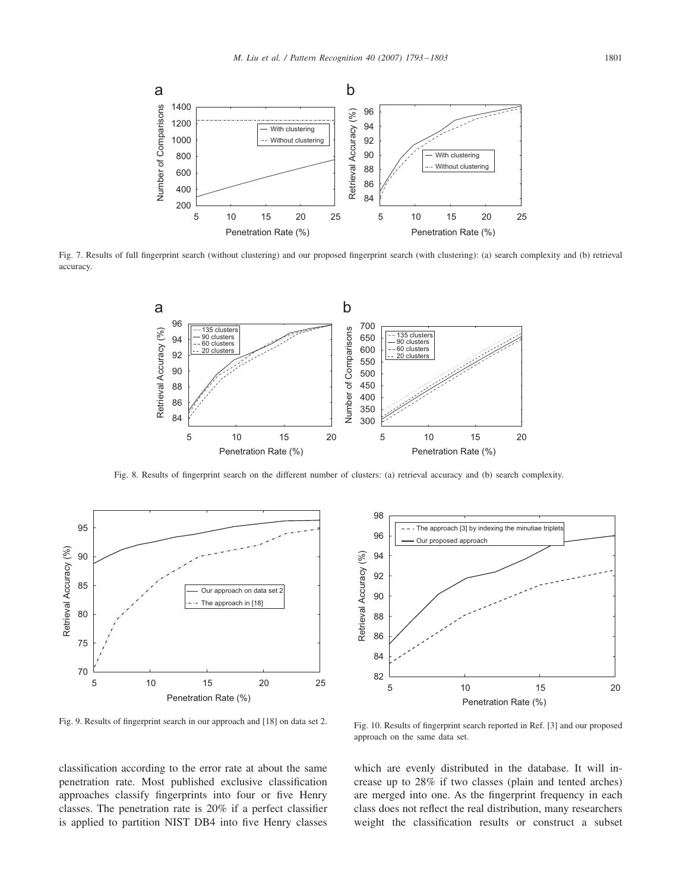

Fig. 7. Results of full fingerprint search (without clustering) and our proposed fingerprint search (with clustering): (a) search complexity and (b) retrieval accuracy.



Fig. 8. Results of fingerprint search on the different number of clusters: (a) retrieval accuracy and (b) search complexity.



Fig. 9. Results of fingerprint search in our approach and [18] on data set 2.



Fig. 10. Results of fingerprint search reported in Ref. [3] and our proposed approach on the same data set.

classification according to the error rate at about the same penetration rate. Most published exclusive classification approaches classify fingerprints into four or five Henry classes. The penetration rate is 20% if a perfect classifier is applied to partition NIST DB4 into five Henry classes

which are evenly distributed in the database. It will increase up to 28% if two classes (plain and tented arches) are merged into one. As the fingerprint frequency in each class does not reflect the real distribution, many researchers weight the classification results or construct a subset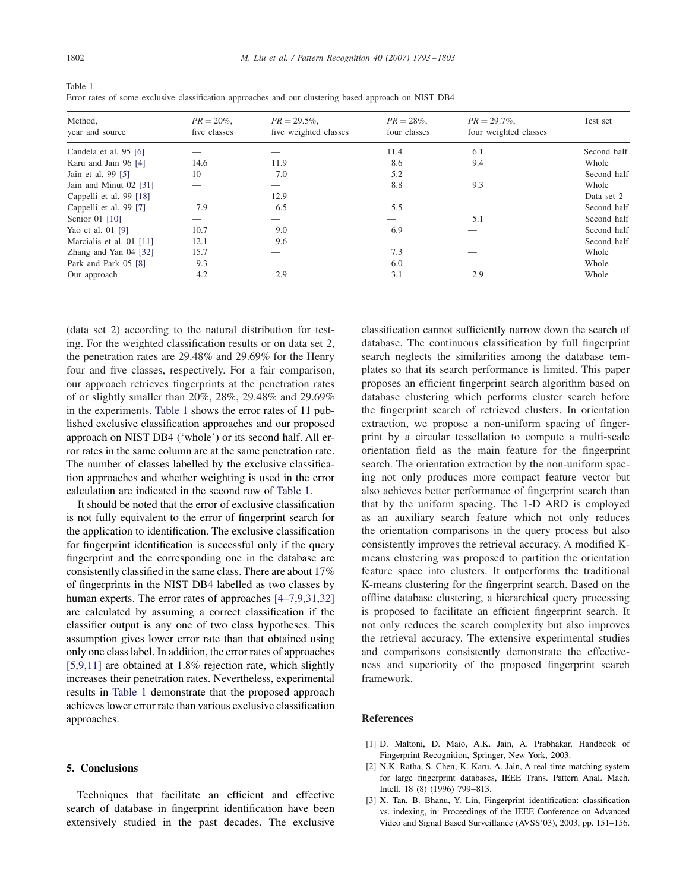| Method,<br>year and source | $PR = 20\%$ ,<br>five classes | $PR = 29.5\%$ ,<br>five weighted classes | $PR = 28\%$ ,<br>four classes | $PR = 29.7\%$ ,<br>four weighted classes | Test set    |
|----------------------------|-------------------------------|------------------------------------------|-------------------------------|------------------------------------------|-------------|
|                            |                               |                                          |                               |                                          |             |
| Candela et al. 95 [6]      |                               |                                          | 11.4                          | 6.1                                      | Second half |
| Karu and Jain 96 [4]       | 14.6                          | 11.9                                     | 8.6                           | 9.4                                      | Whole       |
| Jain et al. 99 [5]         | 10                            | 7.0                                      | 5.2                           |                                          | Second half |
| Jain and Minut 02 [31]     |                               |                                          | 8.8                           | 9.3                                      | Whole       |
| Cappelli et al. 99 [18]    |                               | 12.9                                     |                               |                                          | Data set 2  |
| Cappelli et al. 99 [7]     | 7.9                           | 6.5                                      | 5.5                           |                                          | Second half |
| Senior 01 [10]             |                               |                                          |                               | 5.1                                      | Second half |
| Yao et al. 01 [9]          | 10.7                          | 9.0                                      | 6.9                           |                                          | Second half |
| Marcialis et al. 01 [11]   | 12.1                          | 9.6                                      |                               |                                          | Second half |
| Zhang and Yan 04 [32]      | 15.7                          |                                          | 7.3                           |                                          | Whole       |
| Park and Park 05 [8]       | 9.3                           |                                          | 6.0                           |                                          | Whole       |
| Our approach               | 4.2                           | 2.9                                      | 3.1                           | 2.9                                      | Whole       |

Table 1 Error rates of some exclusive classification approaches and our clustering based approach on NIST DB4

(data set 2) according to the natural distribution for testing. For the weighted classification results or on data set 2, the penetration rates are 29.48% and 29.69% for the Henry four and five classes, respectively. For a fair comparison, our approach retrieves fingerprints at the penetration rates of or slightly smaller than 20%, 28%, 29.48% and 29.69% in the experiments. Table 1 shows the error rates of 11 published exclusive classification approaches and our proposed approach on NIST DB4 ('whole') or its second half. All error rates in the same column are at the same penetration rate. The number of classes labelled by the exclusive classification approaches and whether weighting is used in the error calculation are indicated in the second row of Table 1.

It should be noted that the error of exclusive classification is not fully equivalent to the error of fingerprint search for the application to identification. The exclusive classification for fingerprint identification is successful only if the query fingerprint and the corresponding one in the database are consistently classified in the same class. There are about 17% of fingerprints in the NIST DB4 labelled as two classes by human experts. The error rates of approaches [4–7,9,31,32] are calculated by assuming a correct classification if the classifier output is any one of two class hypotheses. This assumption gives lower error rate than that obtained using only one class label. In addition, the error rates of approaches [5,9,11] are obtained at 1.8% rejection rate, which slightly increases their penetration rates. Nevertheless, experimental results in Table 1 demonstrate that the proposed approach achieves lower error rate than various exclusive classification approaches.

## **5. Conclusions**

Techniques that facilitate an efficient and effective search of database in fingerprint identification have been extensively studied in the past decades. The exclusive

classification cannot sufficiently narrow down the search of database. The continuous classification by full fingerprint search neglects the similarities among the database templates so that its search performance is limited. This paper proposes an efficient fingerprint search algorithm based on database clustering which performs cluster search before the fingerprint search of retrieved clusters. In orientation extraction, we propose a non-uniform spacing of fingerprint by a circular tessellation to compute a multi-scale orientation field as the main feature for the fingerprint search. The orientation extraction by the non-uniform spacing not only produces more compact feature vector but also achieves better performance of fingerprint search than that by the uniform spacing. The 1-D ARD is employed as an auxiliary search feature which not only reduces the orientation comparisons in the query process but also consistently improves the retrieval accuracy. A modified Kmeans clustering was proposed to partition the orientation feature space into clusters. It outperforms the traditional K-means clustering for the fingerprint search. Based on the offline database clustering, a hierarchical query processing is proposed to facilitate an efficient fingerprint search. It not only reduces the search complexity but also improves the retrieval accuracy. The extensive experimental studies and comparisons consistently demonstrate the effectiveness and superiority of the proposed fingerprint search framework.

# **References**

- [1] D. Maltoni, D. Maio, A.K. Jain, A. Prabhakar, Handbook of Fingerprint Recognition, Springer, New York, 2003.
- [2] N.K. Ratha, S. Chen, K. Karu, A. Jain, A real-time matching system for large fingerprint databases, IEEE Trans. Pattern Anal. Mach. Intell. 18 (8) (1996) 799–813.
- [3] X. Tan, B. Bhanu, Y. Lin, Fingerprint identification: classification vs. indexing, in: Proceedings of the IEEE Conference on Advanced Video and Signal Based Surveillance (AVSS'03), 2003, pp. 151–156.